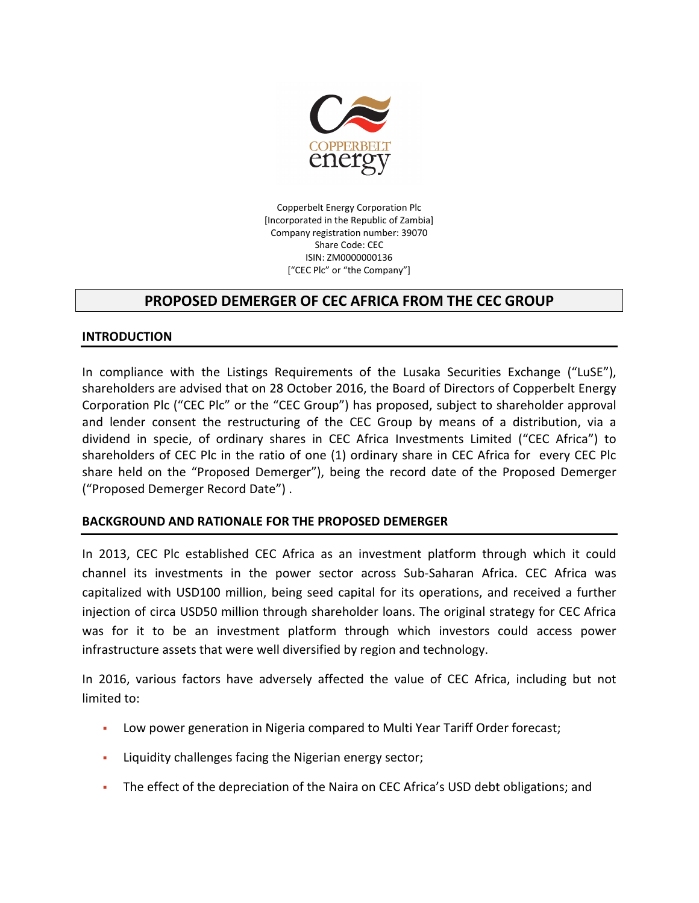

Copperbelt Energy Corporation Plc [Incorporated in the Republic of Zambia] Company registration number: 39070 Share Code: CEC ISIN: ZM0000000136 ["CEC Plc" or "the Company"]

# PROPOSED DEMERGER OF CEC AFRICA FROM THE CEC GROUP

#### INTRODUCTION

In compliance with the Listings Requirements of the Lusaka Securities Exchange ("LuSE"), shareholders are advised that on 28 October 2016, the Board of Directors of Copperbelt Energy Corporation Plc ("CEC Plc" or the "CEC Group") has proposed, subject to shareholder approval and lender consent the restructuring of the CEC Group by means of a distribution, via a dividend in specie, of ordinary shares in CEC Africa Investments Limited ("CEC Africa") to shareholders of CEC Plc in the ratio of one (1) ordinary share in CEC Africa for every CEC Plc share held on the "Proposed Demerger"), being the record date of the Proposed Demerger ("Proposed Demerger Record Date") .

#### BACKGROUND AND RATIONALE FOR THE PROPOSED DEMERGER

In 2013, CEC Plc established CEC Africa as an investment platform through which it could channel its investments in the power sector across Sub-Saharan Africa. CEC Africa was capitalized with USD100 million, being seed capital for its operations, and received a further injection of circa USD50 million through shareholder loans. The original strategy for CEC Africa was for it to be an investment platform through which investors could access power infrastructure assets that were well diversified by region and technology.

In 2016, various factors have adversely affected the value of CEC Africa, including but not limited to:

- Low power generation in Nigeria compared to Multi Year Tariff Order forecast;
- Liquidity challenges facing the Nigerian energy sector;
- The effect of the depreciation of the Naira on CEC Africa's USD debt obligations; and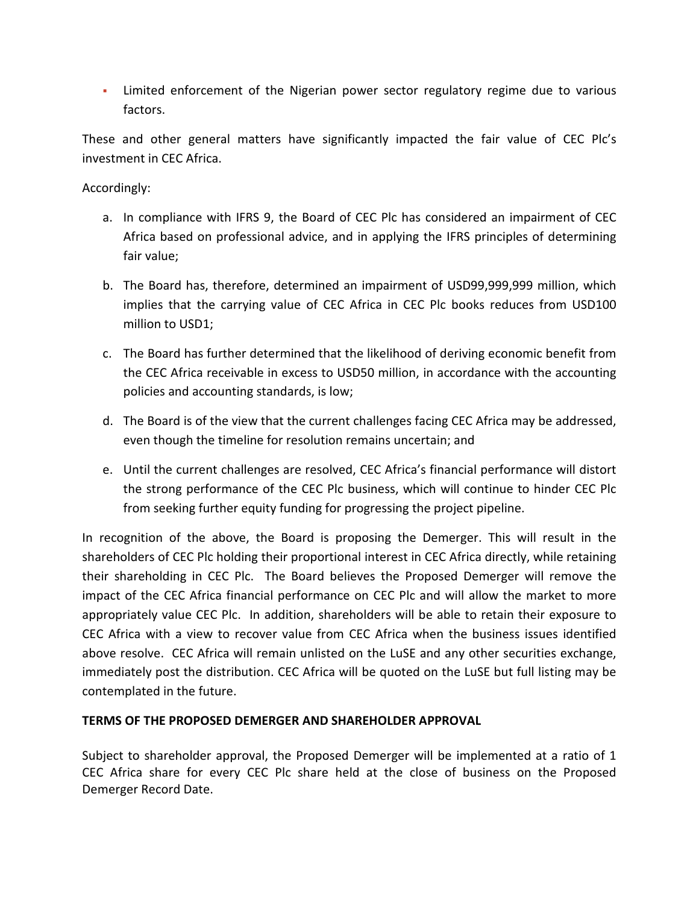Limited enforcement of the Nigerian power sector regulatory regime due to various factors.

These and other general matters have significantly impacted the fair value of CEC Plc's investment in CEC Africa.

### Accordingly:

- a. In compliance with IFRS 9, the Board of CEC Plc has considered an impairment of CEC Africa based on professional advice, and in applying the IFRS principles of determining fair value;
- b. The Board has, therefore, determined an impairment of USD99,999,999 million, which implies that the carrying value of CEC Africa in CEC Plc books reduces from USD100 million to USD1;
- c. The Board has further determined that the likelihood of deriving economic benefit from the CEC Africa receivable in excess to USD50 million, in accordance with the accounting policies and accounting standards, is low;
- d. The Board is of the view that the current challenges facing CEC Africa may be addressed, even though the timeline for resolution remains uncertain; and
- e. Until the current challenges are resolved, CEC Africa's financial performance will distort the strong performance of the CEC Plc business, which will continue to hinder CEC Plc from seeking further equity funding for progressing the project pipeline.

In recognition of the above, the Board is proposing the Demerger. This will result in the shareholders of CEC Plc holding their proportional interest in CEC Africa directly, while retaining their shareholding in CEC Plc. The Board believes the Proposed Demerger will remove the impact of the CEC Africa financial performance on CEC Plc and will allow the market to more appropriately value CEC Plc. In addition, shareholders will be able to retain their exposure to CEC Africa with a view to recover value from CEC Africa when the business issues identified above resolve. CEC Africa will remain unlisted on the LuSE and any other securities exchange, immediately post the distribution. CEC Africa will be quoted on the LuSE but full listing may be contemplated in the future.

## TERMS OF THE PROPOSED DEMERGER AND SHAREHOLDER APPROVAL

Subject to shareholder approval, the Proposed Demerger will be implemented at a ratio of 1 CEC Africa share for every CEC Plc share held at the close of business on the Proposed Demerger Record Date.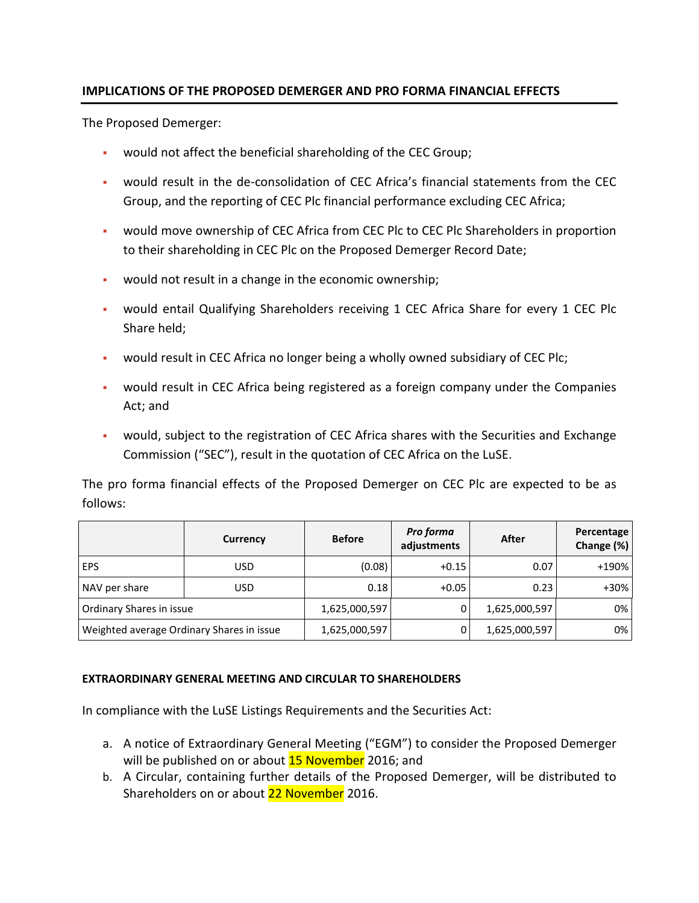### IMPLICATIONS OF THE PROPOSED DEMERGER AND PRO FORMA FINANCIAL EFFECTS

The Proposed Demerger:

- would not affect the beneficial shareholding of the CEC Group;
- would result in the de-consolidation of CEC Africa's financial statements from the CEC Group, and the reporting of CEC Plc financial performance excluding CEC Africa;
- would move ownership of CEC Africa from CEC Plc to CEC Plc Shareholders in proportion to their shareholding in CEC Plc on the Proposed Demerger Record Date;
- would not result in a change in the economic ownership;
- would entail Qualifying Shareholders receiving 1 CEC Africa Share for every 1 CEC Plc Share held;
- would result in CEC Africa no longer being a wholly owned subsidiary of CEC Plc;
- would result in CEC Africa being registered as a foreign company under the Companies Act; and
- would, subject to the registration of CEC Africa shares with the Securities and Exchange Commission ("SEC"), result in the quotation of CEC Africa on the LuSE.

The pro forma financial effects of the Proposed Demerger on CEC Plc are expected to be as follows:

|                                           | Currency | <b>Before</b> | Pro forma<br>adjustments | After         | Percentage<br>Change (%) |
|-------------------------------------------|----------|---------------|--------------------------|---------------|--------------------------|
| <b>EPS</b>                                | USD      | (0.08)        | $+0.15$                  | 0.07          | $+190%$                  |
| NAV per share                             | USD      | 0.18          | $+0.05$                  | 0.23          | $+30%$                   |
| Ordinary Shares in issue                  |          | 1,625,000,597 | 0                        | 1,625,000,597 | $0\%$                    |
| Weighted average Ordinary Shares in issue |          | 1,625,000,597 | 0                        | 1,625,000,597 | $0\%$                    |

#### EXTRAORDINARY GENERAL MEETING AND CIRCULAR TO SHAREHOLDERS

In compliance with the LuSE Listings Requirements and the Securities Act:

- a. A notice of Extraordinary General Meeting ("EGM") to consider the Proposed Demerger will be published on or about **15 November** 2016; and
- b. A Circular, containing further details of the Proposed Demerger, will be distributed to Shareholders on or about 22 November 2016.